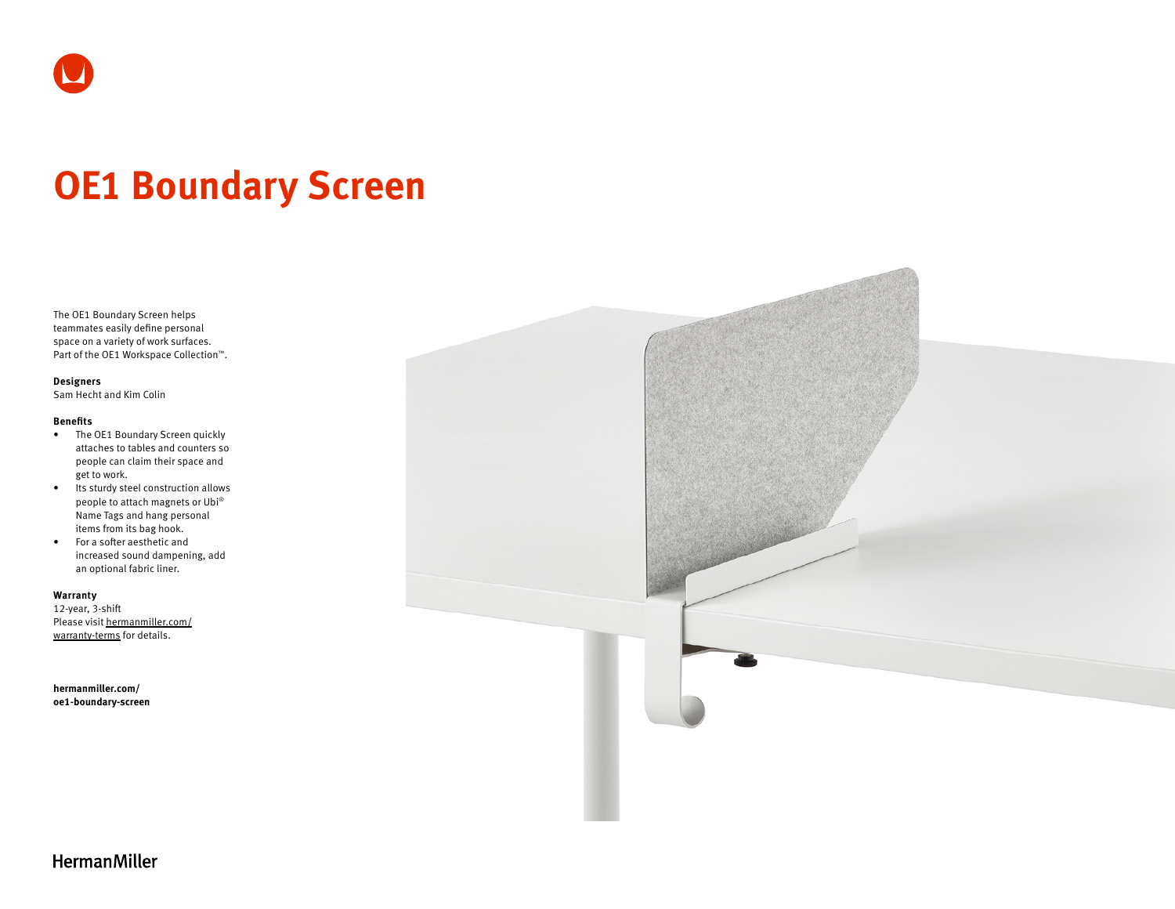

# **OE1 Boundary Screen**

The OE1 Boundary Screen helps teammates easily define personal space on a variety of work surfaces. Part of the OE1 Workspace Collection™.

#### **Designers**

Sam Hecht and Kim Colin

#### **Benefits**

- The OE1 Boundary Screen quickly attaches to tables and counters so people can claim their space and get to work.
- Its sturdy steel construction allows people to attach magnets or Ubi® Name Tags and hang personal items from its bag hook.
- For a softer aesthetic and increased sound dampening, add an optional fabric liner.

#### **Warranty**

12-year, 3-shift Please visit [hermanmiller.com/](https://hermanmiller.com/warranty-terms) [warranty-terms](https://hermanmiller.com/warranty-terms) for details.

**[hermanmiller.com/](https://hermanmiller.com/oe1-boundary-screen) [oe1-b](https://hermanmiller.com/oe1-boundary-screen)oundary-screen**